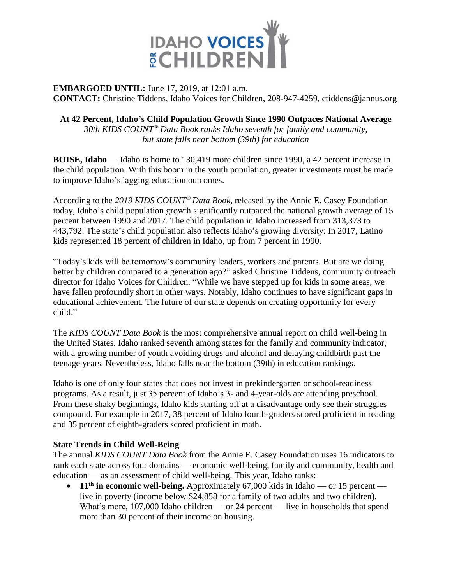

### **EMBARGOED UNTIL:** June 17, 2019, at 12:01 a.m. **CONTACT:** Christine Tiddens, Idaho Voices for Children, 208-947-4259, ctiddens@jannus.org

## **At 42 Percent, Idaho's Child Population Growth Since 1990 Outpaces National Average**

*30th KIDS COUNT® Data Book ranks Idaho seventh for family and community, but state falls near bottom (39th) for education*

**BOISE, Idaho** — Idaho is home to 130,419 more children since 1990, a 42 percent increase in the child population. With this boom in the youth population, greater investments must be made to improve Idaho's lagging education outcomes.

According to the *2019 KIDS COUNT® Data Book,* released by the Annie E. Casey Foundation today, Idaho's child population growth significantly outpaced the national growth average of 15 percent between 1990 and 2017. The child population in Idaho increased from 313,373 to 443,792. The state's child population also reflects Idaho's growing diversity: In 2017, Latino kids represented 18 percent of children in Idaho, up from 7 percent in 1990.

"Today's kids will be tomorrow's community leaders, workers and parents. But are we doing better by children compared to a generation ago?" asked Christine Tiddens, community outreach director for Idaho Voices for Children. "While we have stepped up for kids in some areas, we have fallen profoundly short in other ways. Notably, Idaho continues to have significant gaps in educational achievement. The future of our state depends on creating opportunity for every child."

The *KIDS COUNT Data Book* is the most comprehensive annual report on child well-being in the United States. Idaho ranked seventh among states for the family and community indicator, with a growing number of youth avoiding drugs and alcohol and delaying childbirth past the teenage years. Nevertheless, Idaho falls near the bottom (39th) in education rankings.

Idaho is one of only four states that does not invest in prekindergarten or school-readiness programs. As a result, just 35 percent of Idaho's 3- and 4-year-olds are attending preschool. From these shaky beginnings, Idaho kids starting off at a disadvantage only see their struggles compound. For example in 2017, 38 percent of Idaho fourth-graders scored proficient in reading and 35 percent of eighth-graders scored proficient in math.

## **State Trends in Child Well-Being**

The annual *KIDS COUNT Data Book* from the Annie E. Casey Foundation uses 16 indicators to rank each state across four domains — economic well-being, family and community, health and education — as an assessment of child well-being. This year, Idaho ranks:

• **11<sup>th</sup>** in economic well-being. Approximately 67,000 kids in Idaho — or 15 percent live in poverty (income below \$24,858 for a family of two adults and two children). What's more, 107,000 Idaho children — or 24 percent — live in households that spend more than 30 percent of their income on housing.